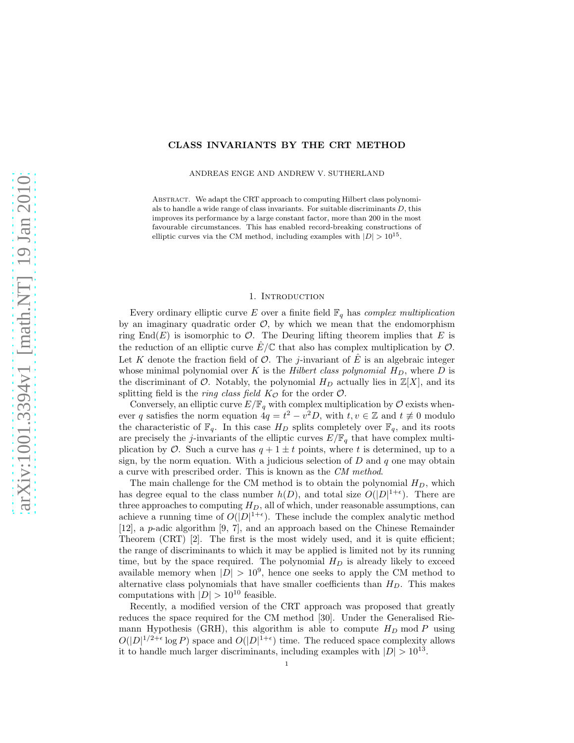## CLASS INVARIANTS BY THE CRT METHOD

ANDREAS ENGE AND ANDREW V. SUTHERLAND

ABSTRACT. We adapt the CRT approach to computing Hilbert class polynomials to handle a wide range of class invariants. For suitable discriminants  $D$ , this improves its performance by a large constant factor, more than 200 in the most favourable circumstances. This has enabled record-breaking constructions of elliptic curves via the CM method, including examples with  $|D| > 10^{15}$ .

#### 1. INTRODUCTION

Every ordinary elliptic curve E over a finite field  $\mathbb{F}_q$  has *complex multiplication* by an imaginary quadratic order  $\mathcal{O}$ , by which we mean that the endomorphism ring End(E) is isomorphic to  $\mathcal{O}$ . The Deuring lifting theorem implies that E is the reduction of an elliptic curve  $\hat{E}/\mathbb{C}$  that also has complex multiplication by  $\mathcal{O}$ . Let K denote the fraction field of  $\mathcal O$ . The j-invariant of  $\hat E$  is an algebraic integer whose minimal polynomial over K is the *Hilbert class polynomial*  $H_D$ , where D is the discriminant of  $\mathcal{O}$ . Notably, the polynomial  $H_D$  actually lies in  $\mathbb{Z}[X]$ , and its splitting field is the *ring class field*  $K_{\mathcal{O}}$  for the order  $\mathcal{O}$ .

Conversely, an elliptic curve  $E/\mathbb{F}_q$  with complex multiplication by  $\mathcal O$  exists whenever q satisfies the norm equation  $4q = t^2 - v^2D$ , with  $t, v \in \mathbb{Z}$  and  $t \neq 0$  modulo the characteristic of  $\mathbb{F}_q$ . In this case  $H_D$  splits completely over  $\mathbb{F}_q$ , and its roots are precisely the j-invariants of the elliptic curves  $E/\mathbb{F}_q$  that have complex multiplication by  $\mathcal O$ . Such a curve has  $q + 1 \pm t$  points, where t is determined, up to a sign, by the norm equation. With a judicious selection of  $D$  and  $q$  one may obtain a curve with prescribed order. This is known as the *CM method*.

The main challenge for the CM method is to obtain the polynomial  $H_D$ , which has degree equal to the class number  $h(D)$ , and total size  $O(|D|^{1+\epsilon})$ . There are three approaches to computing  $H_D$ , all of which, under reasonable assumptions, can achieve a running time of  $O(|D|^{1+\epsilon})$ . These include the complex analytic method [12], a p-adic algorithm [9, 7], and an approach based on the Chinese Remainder Theorem (CRT) [2]. The first is the most widely used, and it is quite efficient; the range of discriminants to which it may be applied is limited not by its running time, but by the space required. The polynomial  $H_D$  is already likely to exceed available memory when  $|D| > 10^9$ , hence one seeks to apply the CM method to alternative class polynomials that have smaller coefficients than  $H_D$ . This makes computations with  $|D| > 10^{10}$  feasible.

Recently, a modified version of the CRT approach was proposed that greatly reduces the space required for the CM method [30]. Under the Generalised Riemann Hypothesis (GRH), this algorithm is able to compute  $H_D$  mod P using  $O(|D|^{1/2+\epsilon}\log P)$  space and  $O(|D|^{1+\epsilon})$  time. The reduced space complexity allows it to handle much larger discriminants, including examples with  $|D| > 10^{13}$ .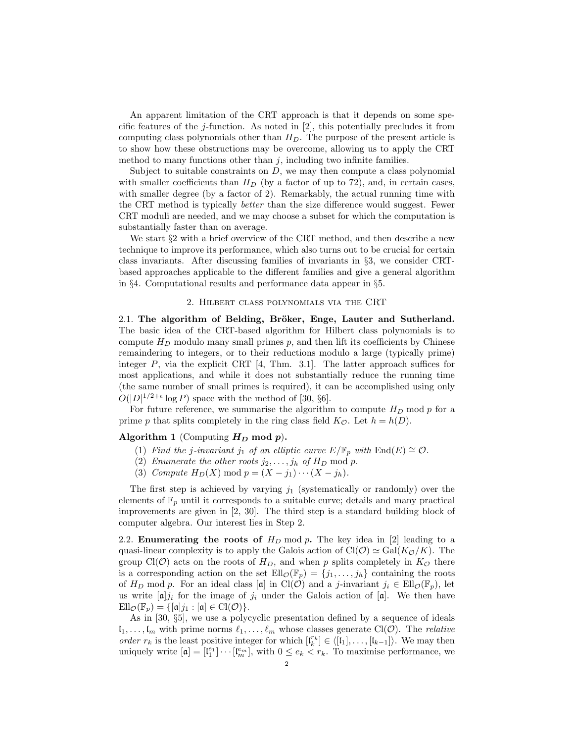An apparent limitation of the CRT approach is that it depends on some specific features of the j-function. As noted in [2], this potentially precludes it from computing class polynomials other than  $H_D$ . The purpose of the present article is to show how these obstructions may be overcome, allowing us to apply the CRT method to many functions other than  $j$ , including two infinite families.

Subject to suitable constraints on  $D$ , we may then compute a class polynomial with smaller coefficients than  $H_D$  (by a factor of up to 72), and, in certain cases, with smaller degree (by a factor of 2). Remarkably, the actual running time with the CRT method is typically *better* than the size difference would suggest. Fewer CRT moduli are needed, and we may choose a subset for which the computation is substantially faster than on average.

We start  $\S2$  with a brief overview of the CRT method, and then describe a new technique to improve its performance, which also turns out to be crucial for certain class invariants. After discussing families of invariants in §3, we consider CRTbased approaches applicable to the different families and give a general algorithm in §4. Computational results and performance data appear in §5.

#### 2. Hilbert class polynomials via the CRT

2.1. The algorithm of Belding, Bröker, Enge, Lauter and Sutherland. The basic idea of the CRT-based algorithm for Hilbert class polynomials is to compute  $H_D$  modulo many small primes  $p$ , and then lift its coefficients by Chinese remaindering to integers, or to their reductions modulo a large (typically prime) integer  $P$ , via the explicit CRT [4, Thm. 3.1]. The latter approach suffices for most applications, and while it does not substantially reduce the running time (the same number of small primes is required), it can be accomplished using only  $O(|D|^{1/2+\epsilon}\log P)$  space with the method of [30, §6].

For future reference, we summarise the algorithm to compute  $H_D$  mod p for a prime p that splits completely in the ring class field  $K_{\mathcal{O}}$ . Let  $h = h(D)$ .

# Algorithm 1 (Computing  $H_D$  mod  $p$ ).

- (1) *Find the j-invariant* j<sub>1</sub> of an elliptic curve  $E/\mathbb{F}_p$  with  $\text{End}(E) \cong \mathcal{O}$ .
- (2) *Enumerate the other roots*  $j_2, \ldots, j_h$  *of*  $H_D$  mod  $p$ .
- (3) *Compute*  $H_D(X)$  mod  $p = (X j_1) \cdots (X j_h)$ .

The first step is achieved by varying  $j_1$  (systematically or randomly) over the elements of  $\mathbb{F}_p$  until it corresponds to a suitable curve; details and many practical improvements are given in [2, 30]. The third step is a standard building block of computer algebra. Our interest lies in Step 2.

2.2. **Enumerating the roots of**  $H_D$  mod p. The key idea in [2] leading to a quasi-linear complexity is to apply the Galois action of  $Cl(\mathcal{O}) \simeq Gal(K_{\mathcal{O}}/K)$ . The group Cl( $\mathcal{O}$ ) acts on the roots of  $H_D$ , and when p splits completely in  $K_{\mathcal{O}}$  there is a corresponding action on the set  $Ell_{\mathcal{O}}(\mathbb{F}_p) = \{j_1, \ldots, j_h\}$  containing the roots of  $H_D$  mod p. For an ideal class [a] in Cl(O) and a j-invariant  $j_i \in Ell_{\mathcal{O}}(\mathbb{F}_p)$ , let us write  $[\mathfrak{a}]j_i$  for the image of  $j_i$  under the Galois action of  $[\mathfrak{a}]$ . We then have  $\text{Ell}_{\mathcal{O}}(\mathbb{F}_p) = \{[\mathfrak{a}]j_1 : [\mathfrak{a}] \in \text{Cl}(\mathcal{O})\}.$ 

As in [30, §5], we use a polycyclic presentation defined by a sequence of ideals  $l_1, \ldots, l_m$  with prime norms  $\ell_1, \ldots, \ell_m$  whose classes generate Cl( $\mathcal{O}$ ). The *relative order*  $r_k$  is the least positive integer for which  $[\mathfrak{l}_k^{r_k}] \in \langle [\mathfrak{l}_1], \ldots, [\mathfrak{l}_{k-1}]\rangle$ . We may then uniquely write  $[\mathfrak{a}] = [\mathfrak{l}_1^{e_1}] \cdots [\mathfrak{l}_m^{e_m}],$  with  $0 \leq e_k < r_k$ . To maximise performance, we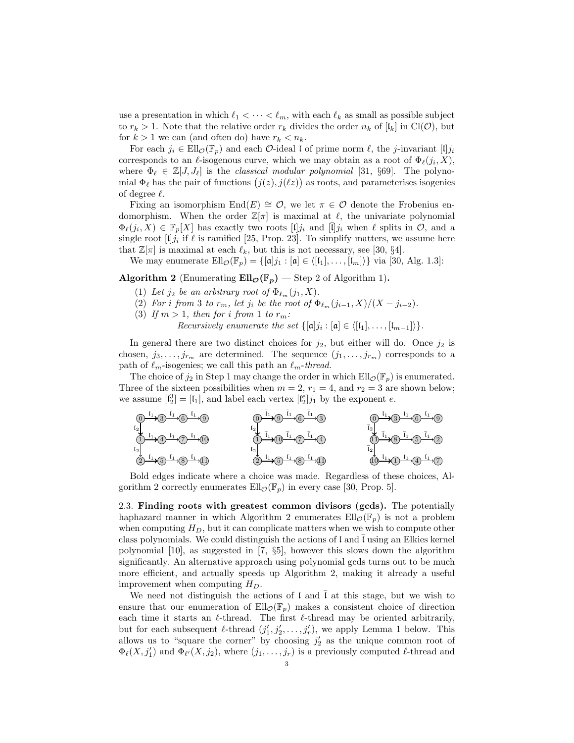use a presentation in which  $\ell_1 < \cdots < \ell_m$ , with each  $\ell_k$  as small as possible subject to  $r_k > 1$ . Note that the relative order  $r_k$  divides the order  $n_k$  of  $\lbrack l_k \rbrack$  in Cl( $\mathcal{O}$ ), but for  $k > 1$  we can (and often do) have  $r_k < n_k$ .

For each  $j_i \in Ell_{\mathcal{O}}(\mathbb{F}_p)$  and each  $\mathcal{O}\text{-ideal}$  is of prime norm  $\ell$ , the j-invariant  $[1]j_i$ corresponds to an  $\ell$ -isogenous curve, which we may obtain as a root of  $\Phi_{\ell}(j_i, X)$ , where  $\Phi_{\ell} \in \mathbb{Z}[J, J_{\ell}]$  is the *classical modular polynomial* [31, §69]. The polynomial  $\Phi_{\ell}$  has the pair of functions  $(j(z), j(\ell z))$  as roots, and parameterises isogenies of degree  $\ell$ .

Fixing an isomorphism  $End(E) \cong \mathcal{O}$ , we let  $\pi \in \mathcal{O}$  denote the Frobenius endomorphism. When the order  $\mathbb{Z}[\pi]$  is maximal at  $\ell$ , the univariate polynomial  $\Phi_{\ell}(j_i, X) \in \mathbb{F}_p[X]$  has exactly two roots  $[\mathfrak{l}]j_i$  and  $[\bar{\mathfrak{l}}]j_i$  when  $\ell$  splits in  $\mathcal{O}$ , and a single root  $[1]j_i$  if  $\ell$  is ramified [25, Prop. 23]. To simplify matters, we assume here that  $\mathbb{Z}[\pi]$  is maximal at each  $\ell_k$ , but this is not necessary, see [30, §4].

We may enumerate  $Ell_{\mathcal{O}}(\mathbb{F}_p) = \{[\mathfrak{a}]j_1 : [\mathfrak{a}] \in \langle [l_1], \ldots, [l_m]\rangle\}$  via [30, Alg. 1.3]:

Algorithm 2 (Enumerating  $Ell_{\mathcal{O}}(\mathbb{F}_p)$  — Step 2 of Algorithm 1).

- (1) Let  $j_2$  be an arbitrary root of  $\Phi_{\ell_m}(j_1, X)$ .
- (2) *For i from* 3 *to*  $r_m$ *, let*  $j_i$  *be the root of*  $\Phi_{\ell_m}(j_{i-1}, X)/(X j_{i-2})$ *.*
- (3) If  $m > 1$ , then for *i* from 1 to  $r_m$ :

*Recursively enumerate the set*  $\{[\mathfrak{a}]j_i : [\mathfrak{a}] \in \langle [\mathfrak{l}_1], \ldots, [\mathfrak{l}_{m-1}]\rangle\}.$ 

In general there are two distinct choices for  $j_2$ , but either will do. Once  $j_2$  is chosen,  $j_3, \ldots, j_{r_m}$  are determined. The sequence  $(j_1, \ldots, j_{r_m})$  corresponds to a path of  $\ell_m$ -isogenies; we call this path an  $\ell_m$ -*thread*.

The choice of  $j_2$  in Step 1 may change the order in which  $\text{Ell}_{\mathcal{O}}(\mathbb{F}_p)$  is enumerated. Three of the sixteen possibilities when  $m = 2$ ,  $r_1 = 4$ , and  $r_2 = 3$  are shown below; we assume  $\begin{bmatrix} \mathfrak{l}_2^3 \end{bmatrix} = \begin{bmatrix} \mathfrak{l}_1 \end{bmatrix}$ , and label each vertex  $\begin{bmatrix} \mathfrak{l}_2^e \end{bmatrix} j_1$  by the exponent e. 2



Bold edges indicate where a choice was made. Regardless of these choices, Algorithm 2 correctly enumerates  $\mathrm{Ell}_{\mathcal{O}}(\mathbb{F}_p)$  in every case [30, Prop. 5].

2.3. Finding roots with greatest common divisors (gcds). The potentially haphazard manner in which Algorithm 2 enumerates  $Ell_{\mathcal{O}}(\mathbb{F}_{p})$  is not a problem when computing  $H_D$ , but it can complicate matters when we wish to compute other class polynomials. We could distinguish the actions of  $\mathfrak l$  and  $\mathfrak l$  using an Elkies kernel polynomial [10], as suggested in [7, §5], however this slows down the algorithm significantly. An alternative approach using polynomial gcds turns out to be much more efficient, and actually speeds up Algorithm 2, making it already a useful improvement when computing  $H_D$ .

We need not distinguish the actions of  $\mathfrak l$  and  $\bar{\mathfrak l}$  at this stage, but we wish to ensure that our enumeration of  $Ell_{\mathcal{O}}(\mathbb{F}_{p})$  makes a consistent choice of direction each time it starts an  $\ell$ -thread. The first  $\ell$ -thread may be oriented arbitrarily, but for each subsequent  $\ell$ -thread  $(j'_1, j'_2, \ldots, j'_r)$ , we apply Lemma 1 below. This allows us to "square the corner" by choosing  $j_2$  as the unique common root of  $\Phi_{\ell}(X, j'_1)$  and  $\Phi_{\ell'}(X, j_2)$ , where  $(j_1, \ldots, j_r)$  is a previously computed  $\ell$ -thread and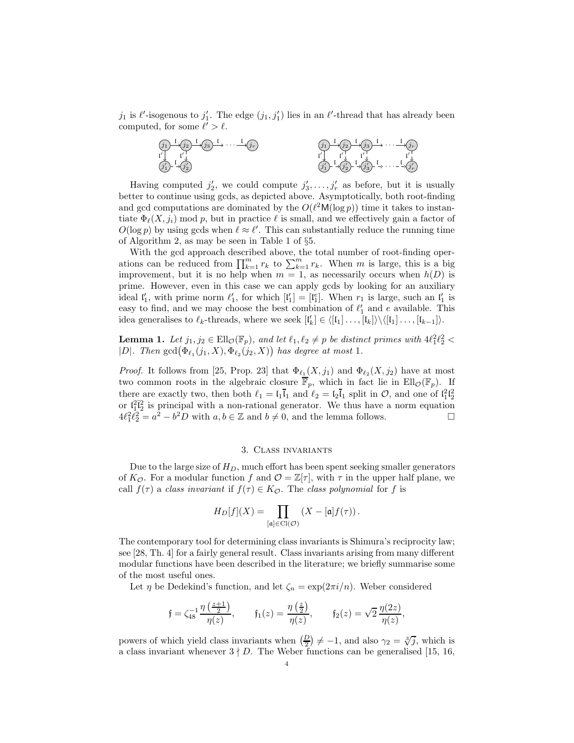$j_1$  is  $\ell'$ -isogenous to  $j'_1$ . The edge  $(j_1, j'_1)$  lies in an  $\ell'$ -thread that has already been computed, for some  $\ell' > \ell$ .



Having computed  $j'_2$ , we could compute  $j'_3, \ldots, j'_r$  as before, but it is usually better to continue using gcds, as depicted above. Asymptotically, both root-finding and gcd computations are dominated by the  $O(\ell^2\mathsf{M}(\log p))$  time it takes to instantiate  $\Phi_{\ell}(X, j_i)$  mod p, but in practice  $\ell$  is small, and we effectively gain a factor of  $O(\log p)$  by using gcds when  $\ell \approx \ell'$ . This can substantially reduce the running time of Algorithm 2, as may be seen in Table 1 of §5.

With the gcd approach described above, the total number of root-finding operations can be reduced from  $\prod_{k=1}^m r_k$  to  $\sum_{k=1}^m r_k$ . When m is large, this is a big improvement, but it is no help when  $m = 1$ , as necessarily occurs when  $h(D)$  is prime. However, even in this case we can apply gcds by looking for an auxiliary ideal  $\mathfrak{l}'_1$ , with prime norm  $\ell'_1$ , for which  $[\mathfrak{l}'_1] = [\mathfrak{l}'_1]$ . When  $r_1$  is large, such an  $\mathfrak{l}'_1$  is easy to find, and we may choose the best combination of  $\ell'_1$  and e available. This idea generalises to  $\ell_k$ -threads, where we seek  $[\mathfrak{l}'_k] \in \langle [\mathfrak{l}_1] \dots, [\mathfrak{l}_k] \rangle \setminus \langle [\mathfrak{l}_1] \dots, [\mathfrak{l}_{k-1}] \rangle$ .

**Lemma 1.** Let  $j_1, j_2 \in \text{Ell}_{\mathcal{O}}(\mathbb{F}_p)$ , and let  $\ell_1, \ell_2 \neq p$  be distinct primes with  $4\ell_1^2\ell_2^2$  < |D|. Then  $\gcd(\Phi_{\ell_1}(j_1, X), \Phi_{\ell_2}(j_2, X))$  has degree at most 1.

*Proof.* It follows from [25, Prop. 23] that  $\Phi_{\ell_1}(X, j_1)$  and  $\Phi_{\ell_2}(X, j_2)$  have at most two common roots in the algebraic closure  $\overline{\mathbb{F}}_p$ , which in fact lie in  $\text{Ell}_{\mathcal{O}}(\mathbb{F}_p)$ . If there are exactly two, then both  $\ell_1 = \mathfrak{l}_1 \overline{\mathfrak{l}}_1$  and  $\ell_2 = \mathfrak{l}_2 \overline{\mathfrak{l}}_1$  split in  $\mathcal{O}$ , and one of  $\mathfrak{l}_1^2 \mathfrak{l}_2^2$ or  $\lfloor \frac{2}{1} \rfloor^2$  is principal with a non-rational generator. We thus have a norm equation  $4\ell_1^2 \ell_2^2 = a^2 - b^2 D$  with  $a, b \in \mathbb{Z}$  and  $b \neq 0$ , and the lemma follows.

### 3. Class invariants

Due to the large size of  $H_D$ , much effort has been spent seeking smaller generators of  $K_{\mathcal{O}}$ . For a modular function f and  $\mathcal{O} = \mathbb{Z}[\tau]$ , with  $\tau$  in the upper half plane, we call  $f(\tau)$  a *class invariant* if  $f(\tau) \in K_{\mathcal{O}}$ . The *class polynomial* for f is

$$
H_D[f](X) = \prod_{[\mathfrak{a}] \in \mathrm{Cl}(\mathcal{O})} \left( X - [\mathfrak{a}] f(\tau) \right).
$$

The contemporary tool for determining class invariants is Shimura's reciprocity law; see [28, Th. 4] for a fairly general result. Class invariants arising from many different modular functions have been described in the literature; we briefly summarise some of the most useful ones.

Let  $\eta$  be Dedekind's function, and let  $\zeta_n = \exp(2\pi i/n)$ . Weber considered

$$
\mathfrak{f} = \zeta_{48}^{-1} \frac{\eta \left(\frac{z+1}{2}\right)}{\eta(z)}, \qquad \mathfrak{f}_1(z) = \frac{\eta \left(\frac{z}{2}\right)}{\eta(z)}, \qquad \mathfrak{f}_2(z) = \sqrt{2} \frac{\eta(2z)}{\eta(z)},
$$

powers of which yield class invariants when  $\left(\frac{D}{2}\right) \neq -1$ , and also  $\gamma_2 = \sqrt[3]{j}$ , which is a class invariant whenever  $3 \nmid D$ . The Weber functions can be generalised [15, 16,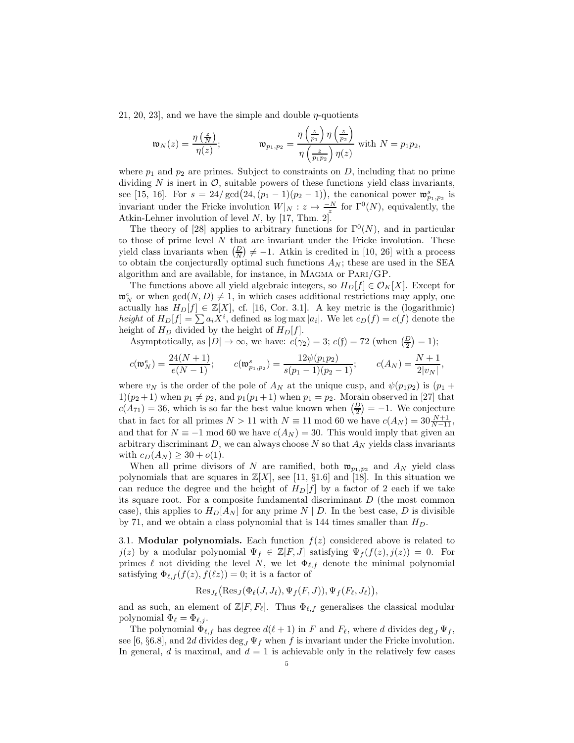21, 20, 23, and we have the simple and double  $\eta$ -quotients

$$
\mathfrak{w}_N(z) = \frac{\eta\left(\frac{z}{N}\right)}{\eta(z)}; \qquad \qquad \mathfrak{w}_{p_1, p_2} = \frac{\eta\left(\frac{z}{p_1}\right)\eta\left(\frac{z}{p_2}\right)}{\eta\left(\frac{z}{p_1p_2}\right)\eta(z)} \text{ with } N = p_1p_2,
$$

where  $p_1$  and  $p_2$  are primes. Subject to constraints on D, including that no prime dividing N is inert in  $\mathcal{O}$ , suitable powers of these functions yield class invariants, see [15, 16]. For  $s = 24/\gcd(24, (p_1 - 1)(p_2 - 1))$ , the canonical power  $\mathfrak{w}_{p_1, p_2}^s$  is invariant under the Fricke involution  $W|_N: z \mapsto \frac{-N}{z^z}$  for  $\Gamma^0(N)$ , equivalently, the Atkin-Lehner involution of level  $N$ , by [17, Thm. 2].

The theory of [28] applies to arbitrary functions for  $\Gamma^{0}(N)$ , and in particular to those of prime level  $N$  that are invariant under the Fricke involution. These yield class invariants when  $\left(\frac{D}{N}\right) \neq -1$ . Atkin is credited in [10, 26] with a process to obtain the conjecturally optimal such functions  $A_N$ ; these are used in the SEA algorithm and are available, for instance, in Magma or Pari/GP.

The functions above all yield algebraic integers, so  $H_D[f] \in \mathcal{O}_K[X]$ . Except for  $\mathfrak{w}_N^e$  or when  $gcd(N, D) \neq 1$ , in which cases additional restrictions may apply, one actually has  $H_D[f] \in \mathbb{Z}[X]$ , cf. [16, Cor. 3.1]. A key metric is the (logarithmic) *height* of  $H_D[f] = \sum a_i X^i$ , defined as  $\log \max |a_i|$ . We let  $c_D(f) = c(f)$  denote the height of  $H_D$  divided by the height of  $H_D[f]$ .

Asymptotically, as  $|D| \to \infty$ , we have:  $c(\gamma_2) = 3$ ;  $c(f) = 72$  (when  $\left(\frac{D}{2}\right) = 1$ );

$$
c(\mathfrak{w}_N^e) = \frac{24(N+1)}{e(N-1)}; \qquad c(\mathfrak{w}_{p_1,p_2}^s) = \frac{12\psi(p_1p_2)}{s(p_1-1)(p_2-1)}; \qquad c(A_N) = \frac{N+1}{2|v_N|},
$$

where  $v_N$  is the order of the pole of  $A_N$  at the unique cusp, and  $\psi(p_1p_2)$  is  $(p_1 +$  $1(p_2+1)$  when  $p_1 \neq p_2$ , and  $p_1(p_1+1)$  when  $p_1 = p_2$ . Morain observed in [27] that  $c(A_{71}) = 36$ , which is so far the best value known when  $\left(\frac{D}{2}\right) = -1$ . We conjecture that in fact for all primes  $N > 11$  with  $N \equiv 11 \mod 60$  we have  $c(A_N) = 30 \frac{N+1}{N-11}$ , and that for  $N \equiv -1 \mod 60$  we have  $c(A_N) = 30$ . This would imply that given an arbitrary discriminant  $D$ , we can always choose  $N$  so that  $A_N$  yields class invariants with  $c_D(A_N) \ge 30 + o(1)$ .

When all prime divisors of N are ramified, both  $\mathfrak{w}_{p_1,p_2}$  and  $A_N$  yield class polynomials that are squares in  $\mathbb{Z}[X]$ , see [11, §1.6] and [18]. In this situation we can reduce the degree and the height of  $H_D[f]$  by a factor of 2 each if we take its square root. For a composite fundamental discriminant  $D$  (the most common case), this applies to  $H_D[A_N]$  for any prime  $N \mid D$ . In the best case, D is divisible by 71, and we obtain a class polynomial that is 144 times smaller than  $H_D$ .

3.1. Modular polynomials. Each function  $f(z)$  considered above is related to  $j(z)$  by a modular polynomial  $\Psi_f \in \mathbb{Z}[F, J]$  satisfying  $\Psi_f(f(z), j(z)) = 0$ . For primes  $\ell$  not dividing the level N, we let  $\Phi_{\ell,f}$  denote the minimal polynomial satisfying  $\Phi_{\ell,f}(f(z),f(\ell z))=0$ ; it is a factor of

$$
\operatorname{Res}_{J_{\ell}}(\operatorname{Res}_{J}(\Phi_{\ell}(J,J_{\ell}), \Psi_{f}(F,J)), \Psi_{f}(F_{\ell},J_{\ell})),
$$

and as such, an element of  $\mathbb{Z}[F, F_{\ell}].$  Thus  $\Phi_{\ell, f}$  generalises the classical modular polynomial  $\Phi_{\ell} = \Phi_{\ell, j}$ .

The polynomial  $\Phi_{\ell,f}$  has degree  $d(\ell+1)$  in F and  $F_{\ell}$ , where d divides  $\deg_J \Psi_f$ , see [6, §6.8], and 2d divides deg<sub>J</sub>  $\Psi_f$  when f is invariant under the Fricke involution. In general, d is maximal, and  $d = 1$  is achievable only in the relatively few cases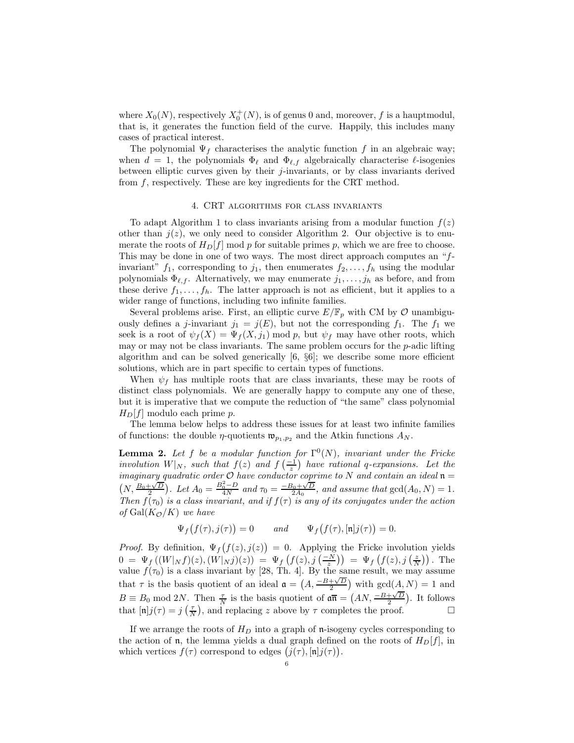where  $X_0(N)$ , respectively  $X_0^+(N)$ , is of genus 0 and, moreover, f is a hauptmodul, that is, it generates the function field of the curve. Happily, this includes many cases of practical interest.

The polynomial  $\Psi_f$  characterises the analytic function f in an algebraic way; when  $d = 1$ , the polynomials  $\Phi_{\ell}$  and  $\Phi_{\ell,f}$  algebraically characterise  $\ell$ -isogenies between elliptic curves given by their j-invariants, or by class invariants derived from f, respectively. These are key ingredients for the CRT method.

### 4. CRT algorithms for class invariants

To adapt Algorithm 1 to class invariants arising from a modular function  $f(z)$ other than  $j(z)$ , we only need to consider Algorithm 2. Our objective is to enumerate the roots of  $H_D[f]$  mod p for suitable primes p, which we are free to choose. This may be done in one of two ways. The most direct approach computes an "finvariant"  $f_1$ , corresponding to  $j_1$ , then enumerates  $f_2, \ldots, f_h$  using the modular polynomials  $\Phi_{\ell,f}$ . Alternatively, we may enumerate  $j_1,\ldots,j_h$  as before, and from these derive  $f_1, \ldots, f_h$ . The latter approach is not as efficient, but it applies to a wider range of functions, including two infinite families.

Several problems arise. First, an elliptic curve  $E/\mathbb{F}_p$  with CM by  $\mathcal O$  unambiguously defines a j-invariant  $j_1 = j(E)$ , but not the corresponding  $f_1$ . The  $f_1$  we seek is a root of  $\psi_f(X) = \Psi_f(X, j_1) \text{ mod } p$ , but  $\psi_f$  may have other roots, which may or may not be class invariants. The same problem occurs for the  $p$ -adic lifting algorithm and can be solved generically [6, §6]; we describe some more efficient solutions, which are in part specific to certain types of functions.

When  $\psi_f$  has multiple roots that are class invariants, these may be roots of distinct class polynomials. We are generally happy to compute any one of these, but it is imperative that we compute the reduction of "the same" class polynomial  $H_D[f]$  modulo each prime p.

The lemma below helps to address these issues for at least two infinite families of functions: the double  $\eta$ -quotients  $\mathfrak{w}_{p_1,p_2}$  and the Atkin functions  $A_N$ .

**Lemma 2.** Let f be a modular function for  $\Gamma^{0}(N)$ , invariant under the Fricke *involution*  $W|_N$ *, such that*  $f(z)$  *and*  $f(\frac{-1}{z})$  *have rational* q-expansions. Let the *imaginary* quadratic order  $\mathcal{O}$  have conductor coprime to N and contain an ideal  $\mathfrak{n} =$  $\left(N, \frac{B_0 + \sqrt{D}}{2}\right)$ *. Let*  $A_0 = \frac{B_0^2 - D}{4N}$  and  $\tau_0 = \frac{-B_0 + \sqrt{D}}{2A_0}$ *, and assume that*  $gcd(A_0, N) = 1$ *. Then*  $f(\tau_0)$  *is a class invariant, and if*  $f(\tau)$  *is any of its conjugates under the action of* Gal( $K_{\mathcal{O}}/K$ ) *we have* 

$$
\Psi_f(f(\tau), j(\tau)) = 0 \quad and \quad \Psi_f(f(\tau), [\mathfrak{n}]j(\tau)) = 0.
$$

*Proof.* By definition,  $\Psi_f(f(z), j(z)) = 0$ . Applying the Fricke involution yields  $0 = \Psi_f((W|_N f)(z), (W|_N j)(z)) = \Psi_f(f(z), j(\frac{-N}{z})) = \Psi_f(f(z), j(\frac{z}{N}))$ . The value  $f(\tau_0)$  is a class invariant by [28, Th. 4]. By the same result, we may assume that  $\tau$  is the basis quotient of an ideal  $\mathfrak{a} = (A, \frac{-B+\sqrt{D}}{2})$  with  $gcd(A, N) = 1$  and  $B \equiv B_0 \text{ mod } 2N$ . Then  $\frac{\tau}{N}$  is the basis quotient of  $\mathfrak{a}\overline{\mathfrak{n}} = (AN, \frac{-B+\sqrt{D}}{2})$ . It follows that  $[\mathfrak{n}]j(\tau) = j\left(\frac{\tau}{N}\right)$ , and replacing z above by  $\tau$  completes the proof.

If we arrange the roots of  $H_D$  into a graph of n-isogeny cycles corresponding to the action of **n**, the lemma yields a dual graph defined on the roots of  $H_D[f]$ , in which vertices  $f(\tau)$  correspond to edges  $(j(\tau), [\mathfrak{n}]j(\tau))$ .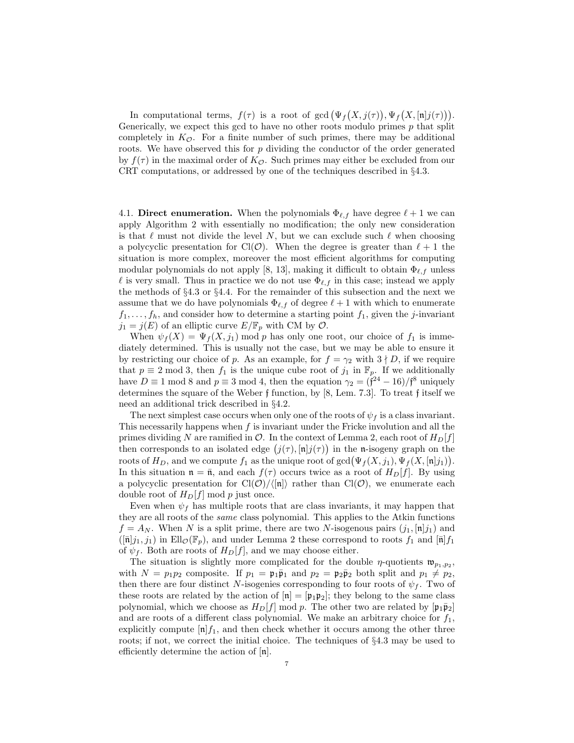In computational terms,  $f(\tau)$  is a root of  $gcd(\Psi_f(X, j(\tau)), \Psi_f(X, [\mathfrak{n}]j(\tau))).$ Generically, we expect this gcd to have no other roots modulo primes  $p$  that split completely in  $K_{\mathcal{O}}$ . For a finite number of such primes, there may be additional roots. We have observed this for  $p$  dividing the conductor of the order generated by  $f(\tau)$  in the maximal order of  $K_{\mathcal{O}}$ . Such primes may either be excluded from our CRT computations, or addressed by one of the techniques described in §4.3.

4.1. Direct enumeration. When the polynomials  $\Phi_{\ell,f}$  have degree  $\ell+1$  we can apply Algorithm 2 with essentially no modification; the only new consideration is that  $\ell$  must not divide the level N, but we can exclude such  $\ell$  when choosing a polycyclic presentation for Cl( $\mathcal{O}$ ). When the degree is greater than  $\ell + 1$  the situation is more complex, moreover the most efficient algorithms for computing modular polynomials do not apply [8, 13], making it difficult to obtain  $\Phi_{\ell,f}$  unless  $\ell$  is very small. Thus in practice we do not use  $\Phi_{\ell,f}$  in this case; instead we apply the methods of §4.3 or §4.4. For the remainder of this subsection and the next we assume that we do have polynomials  $\Phi_{\ell,f}$  of degree  $\ell+1$  with which to enumerate  $f_1, \ldots, f_h$ , and consider how to determine a starting point  $f_1$ , given the j-invariant  $j_1 = j(E)$  of an elliptic curve  $E/\mathbb{F}_p$  with CM by  $\mathcal{O}$ .

When  $\psi_f(X) = \Psi_f(X, j_1)$  mod p has only one root, our choice of  $f_1$  is immediately determined. This is usually not the case, but we may be able to ensure it by restricting our choice of p. As an example, for  $f = \gamma_2$  with  $3 \nmid D$ , if we require that  $p \equiv 2 \mod 3$ , then  $f_1$  is the unique cube root of  $j_1$  in  $\mathbb{F}_p$ . If we additionally have  $D \equiv 1 \mod 8$  and  $p \equiv 3 \mod 4$ , then the equation  $\gamma_2 = (\mathfrak{f}^{24} - 16)/\mathfrak{f}^8$  uniquely determines the square of the Weber f function, by [8, Lem. 7.3]. To treat f itself we need an additional trick described in §4.2.

The next simplest case occurs when only one of the roots of  $\psi_f$  is a class invariant. This necessarily happens when  $f$  is invariant under the Fricke involution and all the primes dividing N are ramified in  $\mathcal{O}$ . In the context of Lemma 2, each root of  $H_D[f]$ then corresponds to an isolated edge  $(j(\tau), [\mathfrak{n}]j(\tau))$  in the n-isogeny graph on the roots of  $H_D$ , and we compute  $f_1$  as the unique root of  $gcd(\Psi_f(X, j_1), \Psi_f(X, [\mathfrak{n}]j_1)).$ In this situation  $\mathfrak{n} = \bar{\mathfrak{n}}$ , and each  $f(\tau)$  occurs twice as a root of  $H_D[f]$ . By using a polycyclic presentation for  $Cl(\mathcal{O})/\langle n| \rangle$  rather than  $Cl(\mathcal{O})$ , we enumerate each double root of  $H_D[f] \mod p$  just once.

Even when  $\psi_f$  has multiple roots that are class invariants, it may happen that they are all roots of the *same* class polynomial. This applies to the Atkin functions  $f = A_N$ . When N is a split prime, there are two N-isogenous pairs  $(j_1, [\mathfrak{n}]j_1)$  and  $(\overline{[n]}j_1, j_1)$  in Ell $\mathcal{O}(\mathbb{F}_p)$ , and under Lemma 2 these correspond to roots  $f_1$  and  $[\overline{n}]}f_1$ of  $\psi_f$ . Both are roots of  $H_D[f]$ , and we may choose either.

The situation is slightly more complicated for the double  $\eta$ -quotients  $\mathfrak{w}_{p_1,p_2}$ , with  $N = p_1p_2$  composite. If  $p_1 = \mathfrak{p}_1\bar{\mathfrak{p}}_1$  and  $p_2 = \mathfrak{p}_2\bar{\mathfrak{p}}_2$  both split and  $p_1 \neq p_2$ , then there are four distinct N-isogenies corresponding to four roots of  $\psi_f$ . Two of these roots are related by the action of  $|\mathbf{n}| = |\mathbf{p}_1 \mathbf{p}_2|$ ; they belong to the same class polynomial, which we choose as  $H_D[f] \mod p$ . The other two are related by  $\lfloor \mathfrak{p}_1 \bar{\mathfrak{p}}_2 \rfloor$ and are roots of a different class polynomial. We make an arbitrary choice for  $f_1$ , explicitly compute  $[n]f_1$ , and then check whether it occurs among the other three roots; if not, we correct the initial choice. The techniques of §4.3 may be used to efficiently determine the action of [n].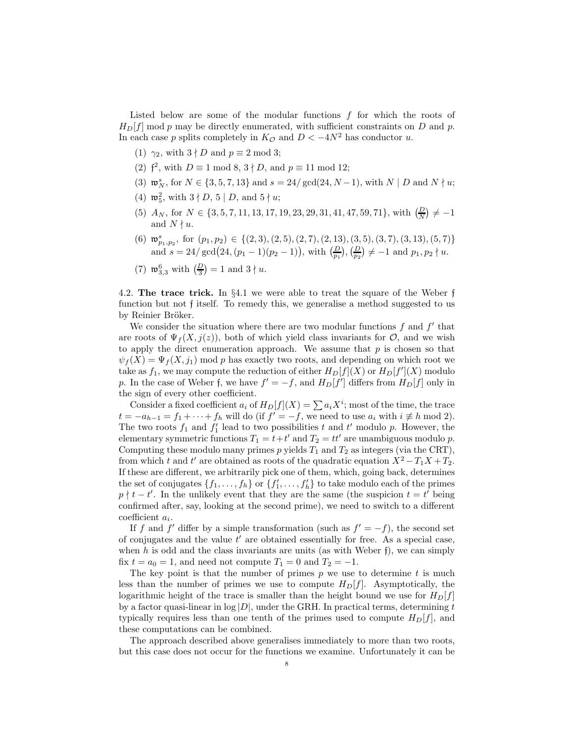Listed below are some of the modular functions  $f$  for which the roots of  $H<sub>D</sub>[f]$  mod p may be directly enumerated, with sufficient constraints on D and p. In each case p splits completely in  $K_{\mathcal{O}}$  and  $D < -4N^2$  has conductor u.

- (1)  $\gamma_2$ , with  $3 \nmid D$  and  $p \equiv 2 \mod 3$ ;
- (2)  $\mathfrak{f}^2$ , with  $D \equiv 1 \bmod 8$ ,  $3 \nmid D$ , and  $p \equiv 11 \bmod 12$ ;
- (3)  $\mathfrak{w}_N^s$ , for  $N \in \{3, 5, 7, 13\}$  and  $s = 24/\gcd(24, N-1)$ , with  $N | D$  and  $N \nmid u$ ;
- (4)  $\mathfrak{w}_5^2$ , with  $3 \nmid D, 5 \mid D$ , and  $5 \nmid u$ ;
- (5)  $A_N$ , for  $N \in \{3, 5, 7, 11, 13, 17, 19, 23, 29, 31, 41, 47, 59, 71\}$ , with  $\left(\frac{D}{N}\right) \neq -1$ and  $N \nmid u$ .
- (6)  $\mathfrak{w}_{p_1,p_2}^s$ , for  $(p_1,p_2) \in \{(2,3), (2,5), (2,7), (2,13), (3,5), (3,7), (3,13), (5,7)\}\$ and  $s = 24/\gcd(24, (p_1 - 1)(p_2 - 1)),$  with  $\left(\frac{D}{p_1}\right), \left(\frac{D}{p_2}\right) \neq -1$  and  $p_1, p_2 \nmid u$ .

(7) 
$$
\mathfrak{w}_{3,3}^6
$$
 with  $\left(\frac{D}{3}\right) = 1$  and  $3 \nmid u$ .

4.2. The trace trick. In §4.1 we were able to treat the square of the Weber f function but not f itself. To remedy this, we generalise a method suggested to us by Reinier Bröker.

We consider the situation where there are two modular functions  $f$  and  $f'$  that are roots of  $\Psi_f(X, j(z))$ , both of which yield class invariants for  $\mathcal{O}$ , and we wish to apply the direct enumeration approach. We assume that  $p$  is chosen so that  $\psi_f(X) = \Psi_f(X, j_1)$  mod p has exactly two roots, and depending on which root we take as  $f_1$ , we may compute the reduction of either  $H_D[f](X)$  or  $H_D[f'](X)$  modulo p. In the case of Weber f, we have  $f' = -f$ , and  $H_D[f']$  differs from  $H_D[f]$  only in the sign of every other coefficient.

Consider a fixed coefficient  $a_i$  of  $H_D[f](X) = \sum a_i X^i$ ; most of the time, the trace  $t = -a_{h-1} = f_1 + \cdots + f_h$  will do (if  $f' = -f$ , we need to use  $a_i$  with  $i \not\equiv h \mod 2$ ). The two roots  $f_1$  and  $f'_1$  lead to two possibilities t and t' modulo p. However, the elementary symmetric functions  $T_1 = t + t'$  and  $T_2 = tt'$  are unambiguous modulo p. Computing these modulo many primes p yields  $T_1$  and  $T_2$  as integers (via the CRT), from which t and t' are obtained as roots of the quadratic equation  $X^2 - T_1X + T_2$ . If these are different, we arbitrarily pick one of them, which, going back, determines the set of conjugates  $\{f_1, \ldots, f_h\}$  or  $\{f'_1, \ldots, f'_h\}$  to take modulo each of the primes  $p \nmid t - t'$ . In the unlikely event that they are the same (the suspicion  $t = t'$  being confirmed after, say, looking at the second prime), we need to switch to a different  $\text{coefficient } a_i.$ 

If f and f' differ by a simple transformation (such as  $f' = -f$ ), the second set of conjugates and the value  $t'$  are obtained essentially for free. As a special case, when  $h$  is odd and the class invariants are units (as with Weber  $f$ ), we can simply fix  $t = a_0 = 1$ , and need not compute  $T_1 = 0$  and  $T_2 = -1$ .

The key point is that the number of primes  $p$  we use to determine  $t$  is much less than the number of primes we use to compute  $H<sub>D</sub>[f]$ . Asymptotically, the logarithmic height of the trace is smaller than the height bound we use for  $H_D[f]$ by a factor quasi-linear in  $log |D|$ , under the GRH. In practical terms, determining t typically requires less than one tenth of the primes used to compute  $H_D[f]$ , and these computations can be combined.

The approach described above generalises immediately to more than two roots, but this case does not occur for the functions we examine. Unfortunately it can be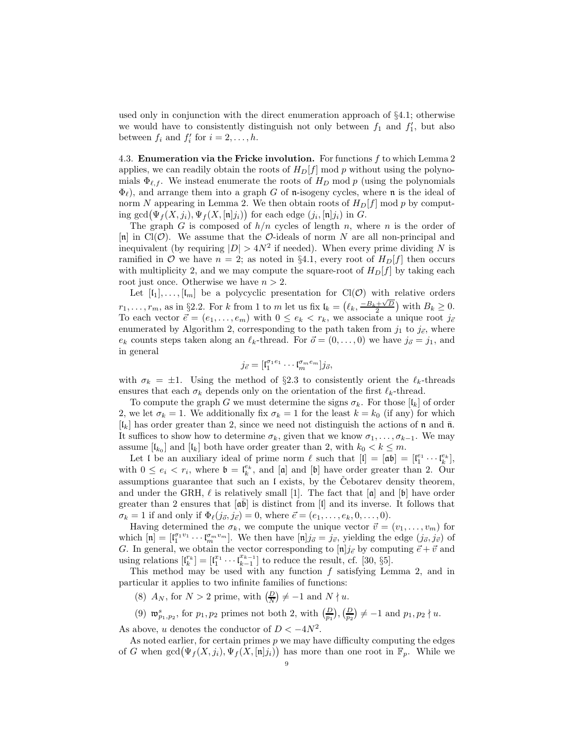used only in conjunction with the direct enumeration approach of §4.1; otherwise we would have to consistently distinguish not only between  $f_1$  and  $f'_1$ , but also between  $f_i$  and  $f'_i$  for  $i = 2, \ldots, h$ .

4.3. Enumeration via the Fricke involution. For functions  $f$  to which Lemma 2 applies, we can readily obtain the roots of  $H<sub>D</sub>[f]$  mod p without using the polynomials  $\Phi_{\ell,f}$ . We instead enumerate the roots of  $H_D$  mod p (using the polynomials  $\Phi_{\ell}$ ), and arrange them into a graph G of n-isogeny cycles, where n is the ideal of norm N appearing in Lemma 2. We then obtain roots of  $H<sub>D</sub>[f]$  mod p by computing  $gcd(\Psi_f(X, j_i), \Psi_f(X, [\mathfrak{n}] j_i))$  for each edge  $(j_i, [\mathfrak{n}] j_i)$  in G.

The graph G is composed of  $h/n$  cycles of length n, where n is the order of [n] in  $Cl(\mathcal{O})$ . We assume that the  $\mathcal{O}$ -ideals of norm N are all non-principal and inequivalent (by requiring  $|D| > 4N^2$  if needed). When every prime dividing N is ramified in  $\mathcal O$  we have  $n = 2$ ; as noted in §4.1, every root of  $H_D[f]$  then occurs with multiplicity 2, and we may compute the square-root of  $H<sub>D</sub>[f]$  by taking each root just once. Otherwise we have  $n > 2$ .

Let  $[I_1], \ldots, [I_m]$  be a polycyclic presentation for  $Cl(\mathcal{O})$  with relative orders  $r_1, \ldots, r_m$ , as in §2.2. For k from 1 to m let us fix  $\mathfrak{l}_k = (\ell_k, \frac{-B_k + \sqrt{D}}{2})$  with  $B_k \ge 0$ . To each vector  $\vec{e} = (e_1, \ldots, e_m)$  with  $0 \le e_k < r_k$ , we associate a unique root  $j_{\vec{e}}$ enumerated by Algorithm 2, corresponding to the path taken from  $j_1$  to  $j_{\vec{e}}$ , where  $e_k$  counts steps taken along an  $\ell_k$ -thread. For  $\vec{o} = (0, \ldots, 0)$  we have  $j_{\vec{o}} = j_1$ , and in general

$$
j_{\vec{e}} = [ \mathfrak{l}_1^{\sigma_1 e_1} \cdots \mathfrak{l}_m^{\sigma_m e_m} ] j_{\vec{o}},
$$

with  $\sigma_k = \pm 1$ . Using the method of §2.3 to consistently orient the  $\ell_k$ -threads ensures that each  $\sigma_k$  depends only on the orientation of the first  $\ell_k$ -thread.

To compute the graph G we must determine the signs  $\sigma_k$ . For those  $\lceil \mathfrak{l}_k \rceil$  of order 2, we let  $\sigma_k = 1$ . We additionally fix  $\sigma_k = 1$  for the least  $k = k_0$  (if any) for which  $\lceil \mathfrak{l}_k \rceil$  has order greater than 2, since we need not distinguish the actions of n and  $\bar{\mathfrak{n}}$ . It suffices to show how to determine  $\sigma_k$ , given that we know  $\sigma_1, \ldots, \sigma_{k-1}$ . We may assume  $\lbrack l_{k_{0}}\rbrack$  and  $\lbrack l_{k}\rbrack$  both have order greater than 2, with  $k_{0} < k \leq m$ .

Let I be an auxiliary ideal of prime norm  $\ell$  such that  $[I] = [\mathfrak{a}\mathfrak{b}] = [l_1^{e_1} \cdots l_k^{e_k}],$ with  $0 \le e_i < r_i$ , where  $\mathfrak{b} = \mathfrak{l}_k^{e_k}$ , and  $[\mathfrak{a}]$  and  $[\mathfrak{b}]$  have order greater than 2. Our assumptions guarantee that such an  $\mathfrak l$  exists, by the Cebotarev density theorem, and under the GRH,  $\ell$  is relatively small [1]. The fact that  $[\alpha]$  and  $[\beta]$  have order greater than 2 ensures that  $[\overline{\mathfrak{a}\mathfrak{b}}]$  is distinct from  $[\mathfrak{l}]$  and its inverse. It follows that  $\sigma_k = 1$  if and only if  $\Phi_\ell(j_{\vec{\sigma}}, j_{\vec{\epsilon}}) = 0$ , where  $\vec{e} = (e_1, \ldots, e_k, 0, \ldots, 0)$ .

Having determined the  $\sigma_k$ , we compute the unique vector  $\vec{v} = (v_1, \ldots, v_m)$  for which  $[\mathbf{n}] = [\mathbf{l}_1^{\sigma_1 v_1} \cdots \mathbf{l}_m^{\sigma_m v_m}]$ . We then have  $[\mathbf{n}]j_{\vec{\sigma}} = j_{\vec{v}},$  yielding the edge  $(j_{\vec{\sigma}}, j_{\vec{v}})$  of G. In general, we obtain the vector corresponding to  $[\mathfrak{n}]j_{\vec{e}}$  by computing  $\vec{e} + \vec{v}$  and using relations  $\left[\mathbf{l}_{k}^{r_{k}}\right]=\left[\mathbf{l}_{1}^{x_{1}}\cdots\mathbf{l}_{k-1}^{x_{k-1}}\right]$  $\frac{x_{k-1}}{k-1}$  to reduce the result, cf. [30, §5].

This method may be used with any function  $f$  satisfying Lemma 2, and in particular it applies to two infinite families of functions:

(8)  $A_N$ , for  $N > 2$  prime, with  $\left(\frac{D}{N}\right) \neq -1$  and  $N \nmid u$ .

(9)  $\mathfrak{w}_{p_1,p_2}^s$ , for  $p_1,p_2$  primes not both 2, with  $\left(\frac{D}{p_1}\right), \left(\frac{D}{p_2}\right) \neq -1$  and  $p_1,p_2 \nmid u$ .

As above, u denotes the conductor of  $D < -4N^2$ .

As noted earlier, for certain primes  $p$  we may have difficulty computing the edges of G when  $gcd(\Psi_f(X, j_i), \Psi_f(X, [\mathfrak{n}]j_i))$  has more than one root in  $\mathbb{F}_p$ . While we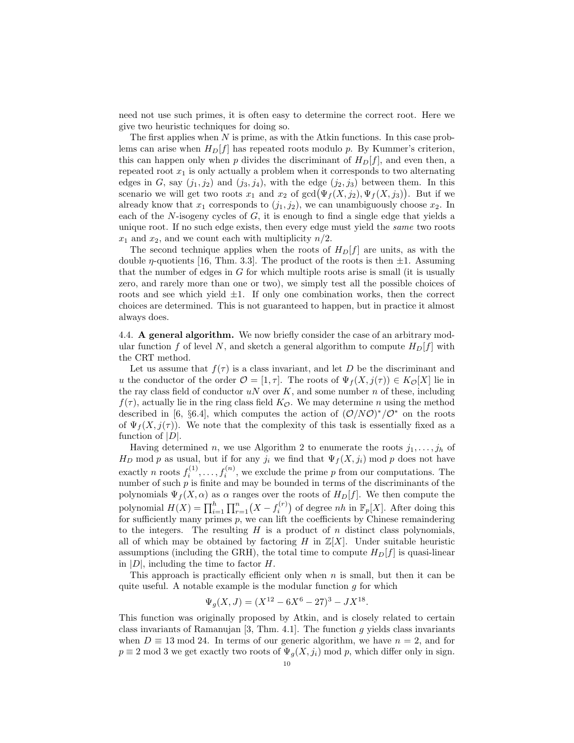need not use such primes, it is often easy to determine the correct root. Here we give two heuristic techniques for doing so.

The first applies when  $N$  is prime, as with the Atkin functions. In this case problems can arise when  $H_D[f]$  has repeated roots modulo p. By Kummer's criterion, this can happen only when p divides the discriminant of  $H_D[f]$ , and even then, a repeated root  $x_1$  is only actually a problem when it corresponds to two alternating edges in G, say  $(j_1, j_2)$  and  $(j_3, j_4)$ , with the edge  $(j_2, j_3)$  between them. In this scenario we will get two roots  $x_1$  and  $x_2$  of  $gcd(\Psi_f(X, j_2), \Psi_f(X, j_3))$ . But if we already know that  $x_1$  corresponds to  $(j_1, j_2)$ , we can unambiguously choose  $x_2$ . In each of the  $N$ -isogeny cycles of  $G$ , it is enough to find a single edge that yields a unique root. If no such edge exists, then every edge must yield the *same* two roots  $x_1$  and  $x_2$ , and we count each with multiplicity  $n/2$ .

The second technique applies when the roots of  $H<sub>D</sub>[f]$  are units, as with the double  $\eta$ -quotients [16, Thm. 3.3]. The product of the roots is then  $\pm 1$ . Assuming that the number of edges in  $G$  for which multiple roots arise is small (it is usually zero, and rarely more than one or two), we simply test all the possible choices of roots and see which yield  $\pm 1$ . If only one combination works, then the correct choices are determined. This is not guaranteed to happen, but in practice it almost always does.

4.4. A general algorithm. We now briefly consider the case of an arbitrary modular function f of level N, and sketch a general algorithm to compute  $H_D[f]$  with the CRT method.

Let us assume that  $f(\tau)$  is a class invariant, and let D be the discriminant and u the conductor of the order  $\mathcal{O} = [1, \tau]$ . The roots of  $\Psi_f(X, j(\tau)) \in K_{\mathcal{O}}[X]$  lie in the ray class field of conductor  $uN$  over  $K$ , and some number n of these, including  $f(\tau)$ , actually lie in the ring class field  $K_{\mathcal{O}}$ . We may determine n using the method described in [6, §6.4], which computes the action of  $(\mathcal{O}/N\mathcal{O})^*/\mathcal{O}^*$  on the roots of  $\Psi_f(X, j(\tau))$ . We note that the complexity of this task is essentially fixed as a function of  $|D|$ .

Having determined n, we use Algorithm 2 to enumerate the roots  $j_1, \ldots, j_h$  of  $H_D$  mod p as usual, but if for any  $j_i$  we find that  $\Psi_f(X, j_i)$  mod p does not have exactly *n* roots  $f_i^{(1)}, \ldots, f_i^{(n)}$ , we exclude the prime *p* from our computations. The number of such  $p$  is finite and may be bounded in terms of the discriminants of the polynomials  $\Psi_f(X, \alpha)$  as  $\alpha$  ranges over the roots of  $H_D[f]$ . We then compute the polynomial  $H(X) = \prod_{i=1}^{h} \prod_{r=1}^{n} (X - f_i^{(r)})$  of degree *nh* in  $\mathbb{F}_p[X]$ . After doing this for sufficiently many primes p, we can lift the coefficients by Chinese remaindering to the integers. The resulting  $H$  is a product of  $n$  distinct class polynomials, all of which may be obtained by factoring H in  $\mathbb{Z}[X]$ . Under suitable heuristic assumptions (including the GRH), the total time to compute  $H_D[f]$  is quasi-linear in  $|D|$ , including the time to factor H.

This approach is practically efficient only when n is small, but then it can be quite useful. A notable example is the modular function  $g$  for which

$$
\Psi_g(X,J) = (X^{12} - 6X^6 - 27)^3 - JX^{18}.
$$

This function was originally proposed by Atkin, and is closely related to certain class invariants of Ramanujan  $[3, Thm. 4.1]$ . The function g yields class invariants when  $D \equiv 13 \mod 24$ . In terms of our generic algorithm, we have  $n = 2$ , and for  $p \equiv 2 \mod 3$  we get exactly two roots of  $\Psi_q(X, j_i) \mod p$ , which differ only in sign.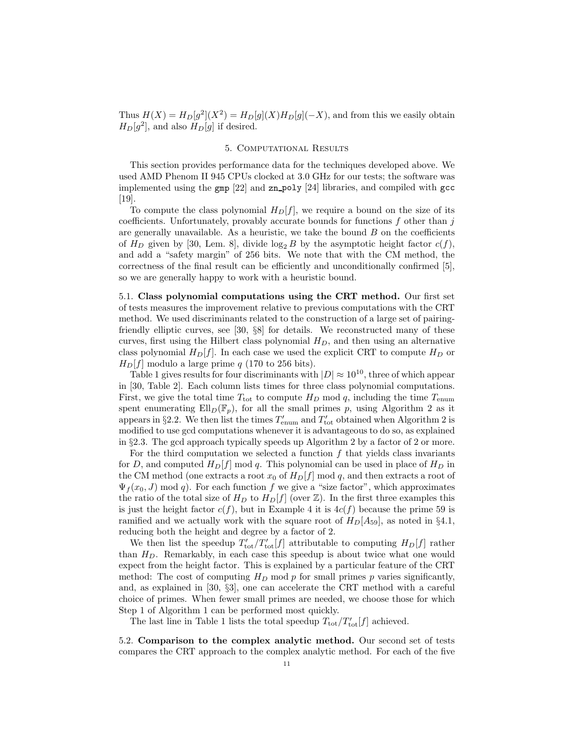Thus  $H(X) = H_D[g^2](X^2) = H_D[g](X)H_D[g](-X)$ , and from this we easily obtain  $H_D[g^2]$ , and also  $H_D[g]$  if desired.

### 5. Computational Results

This section provides performance data for the techniques developed above. We used AMD Phenom II 945 CPUs clocked at 3.0 GHz for our tests; the software was implemented using the  $\text{gmp}$  [22] and  $\text{zn\_poly}$  [24] libraries, and compiled with  $\text{gcc}$ [19].

To compute the class polynomial  $H_D[f]$ , we require a bound on the size of its coefficients. Unfortunately, provably accurate bounds for functions  $f$  other than  $j$ are generally unavailable. As a heuristic, we take the bound  $B$  on the coefficients of  $H_D$  given by [30, Lem. 8], divide  $\log_2 B$  by the asymptotic height factor  $c(f)$ , and add a "safety margin" of 256 bits. We note that with the CM method, the correctness of the final result can be efficiently and unconditionally confirmed [5], so we are generally happy to work with a heuristic bound.

5.1. Class polynomial computations using the CRT method. Our first set of tests measures the improvement relative to previous computations with the CRT method. We used discriminants related to the construction of a large set of pairingfriendly elliptic curves, see [30, §8] for details. We reconstructed many of these curves, first using the Hilbert class polynomial  $H_D$ , and then using an alternative class polynomial  $H_D[f]$ . In each case we used the explicit CRT to compute  $H_D$  or  $H<sub>D</sub>[f]$  modulo a large prime q (170 to 256 bits).

Table 1 gives results for four discriminants with  $|D| \approx 10^{10}$ , three of which appear in [30, Table 2]. Each column lists times for three class polynomial computations. First, we give the total time  $T_{\text{tot}}$  to compute  $H_D$  mod q, including the time  $T_{\text{enum}}$ spent enumerating  $Ell_D(\mathbb{F}_p)$ , for all the small primes p, using Algorithm 2 as it appears in §2.2. We then list the times  $T'_{\text{enum}}$  and  $T'_{\text{tot}}$  obtained when Algorithm 2 is modified to use gcd computations whenever it is advantageous to do so, as explained in §2.3. The gcd approach typically speeds up Algorithm 2 by a factor of 2 or more.

For the third computation we selected a function  $f$  that yields class invariants for D, and computed  $H_D[f] \mod q$ . This polynomial can be used in place of  $H_D$  in the CM method (one extracts a root  $x_0$  of  $H_D[f]$  mod q, and then extracts a root of  $\Psi_f(x_0, J) \mod q$ . For each function f we give a "size factor", which approximates the ratio of the total size of  $H_D$  to  $H_D[f]$  (over  $\mathbb{Z}$ ). In the first three examples this is just the height factor  $c(f)$ , but in Example 4 it is  $4c(f)$  because the prime 59 is ramified and we actually work with the square root of  $H_D[A_{59}]$ , as noted in §4.1, reducing both the height and degree by a factor of 2.

We then list the speedup  $T'_{\text{tot}}/T'_{\text{tot}}[f]$  attributable to computing  $H_D[f]$  rather than  $H_D$ . Remarkably, in each case this speedup is about twice what one would expect from the height factor. This is explained by a particular feature of the CRT method: The cost of computing  $H_D$  mod p for small primes p varies significantly, and, as explained in [30, §3], one can accelerate the CRT method with a careful choice of primes. When fewer small primes are needed, we choose those for which Step 1 of Algorithm 1 can be performed most quickly.

The last line in Table 1 lists the total speedup  $T_{\text{tot}}/T'_{\text{tot}}[f]$  achieved.

5.2. Comparison to the complex analytic method. Our second set of tests compares the CRT approach to the complex analytic method. For each of the five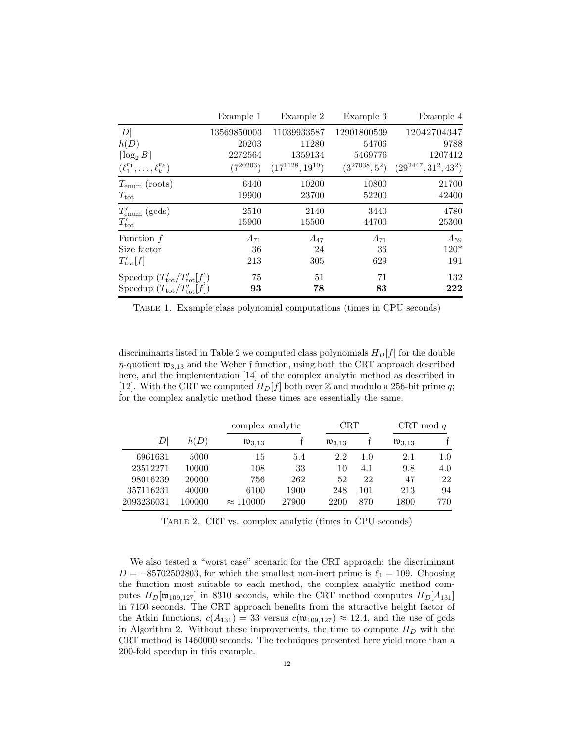|                                                | Example 1     | Example 2              | Example 3          | Example 4                 |
|------------------------------------------------|---------------|------------------------|--------------------|---------------------------|
| D                                              | 13569850003   | 11039933587            | 12901800539        | 12042704347               |
| h(D)                                           | 20203         | 11280                  | 54706              | 9788                      |
| $\lceil \log_2 B \rceil$                       | 2272564       | 1359134                | 5469776            | 1207412                   |
| $(\ell_1^{r_1},\ldots,\ell_k^{r_k})$           | $(7^{20203})$ | $(17^{1128}, 19^{10})$ | $(3^{27038}, 5^2)$ | $(29^{2447}, 31^2, 43^2)$ |
| $T_{\text{enum}}$ (roots)                      | 6440          | 10200                  | 10800              | 21700                     |
| $T_{\rm tot}$                                  | 19900         | 23700                  | 52200              | 42400                     |
| $T'_{\rm enum}$ (gcds)                         | 2510          | 2140                   | 3440               | 4780                      |
| $T'_{\rm tot}$                                 | 15900         | 15500                  | 44700              | 25300                     |
| Function $f$                                   | $A_{71}$      | $A_{47}$               | $A_{71}$           | $A_{59}$                  |
| Size factor                                    | 36            | 24                     | 36                 | $120*$                    |
| $T'_{\text{tot}}[f]$                           | 213           | 305                    | 629                | 191                       |
| Speedup $(T'_{\text{tot}}/T'_{\text{tot}}[f])$ | 75            | 51                     | 71                 | 132                       |
| Speedup $(T_{\text{tot}}/T_{\text{tot}}' [f])$ | 93            | 78                     | 83                 | 222                       |

Table 1. Example class polynomial computations (times in CPU seconds)

discriminants listed in Table 2 we computed class polynomials  $H_D[f]$  for the double  $\eta$ -quotient  $\mathfrak{w}_{3,13}$  and the Weber f function, using both the CRT approach described here, and the implementation [14] of the complex analytic method as described in [12]. With the CRT we computed  $H_D[f]$  both over Z and modulo a 256-bit prime q; for the complex analytic method these times are essentially the same.

|            |        |                       | complex analytic |                       | $\operatorname{CRT}$ |                       | CRT mod $q$ |  |
|------------|--------|-----------------------|------------------|-----------------------|----------------------|-----------------------|-------------|--|
| D          | h(D)   | $\mathfrak{w}_{3,13}$ |                  | $\mathfrak{w}_{3,13}$ |                      | $\mathfrak{w}_{3,13}$ |             |  |
| 6961631    | 5000   | 15                    | 5.4              | 2.2                   | 1.0                  | 2.1                   | 1.0         |  |
| 23512271   | 10000  | 108                   | 33               | 10                    | 4.1                  | 9.8                   | 4.0         |  |
| 98016239   | 20000  | 756                   | 262              | 52                    | 22                   | 47                    | 22          |  |
| 357116231  | 40000  | 6100                  | 1900             | 248                   | 101                  | 213                   | 94          |  |
| 2093236031 | 100000 | $\approx 110000$      | 27900            | 2200                  | 870                  | 1800                  | 770         |  |

Table 2. CRT vs. complex analytic (times in CPU seconds)

We also tested a "worst case" scenario for the CRT approach: the discriminant  $D = -85702502803$ , for which the smallest non-inert prime is  $\ell_1 = 109$ . Choosing the function most suitable to each method, the complex analytic method computes  $H_D[\mathfrak{w}_{109,127}]$  in 8310 seconds, while the CRT method computes  $H_D[A_{131}]$ in 7150 seconds. The CRT approach benefits from the attractive height factor of the Atkin functions,  $c(A_{131}) = 33$  versus  $c(\mathfrak{w}_{109,127}) \approx 12.4$ , and the use of gcds in Algorithm 2. Without these improvements, the time to compute  $H_D$  with the CRT method is 1460000 seconds. The techniques presented here yield more than a 200-fold speedup in this example.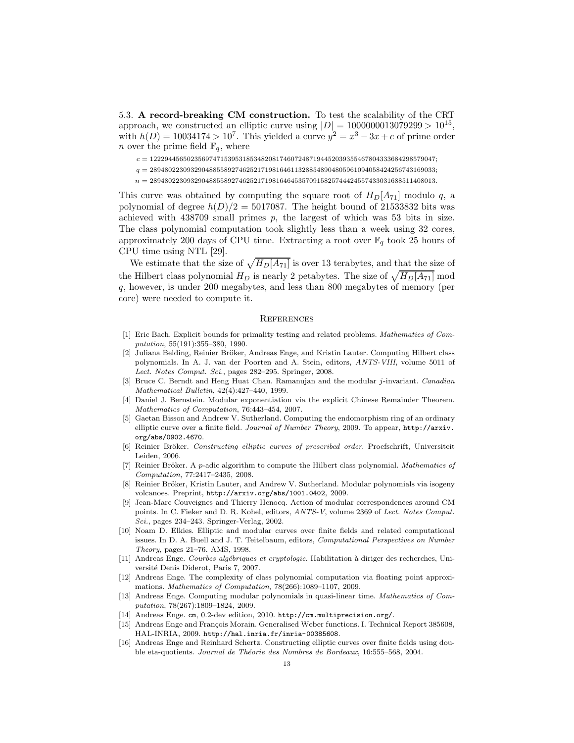5.3. A record-breaking CM construction. To test the scalability of the CRT approach, we constructed an elliptic curve using  $|D| = 1000000013079299 > 10^{15}$ , with  $h(D) = 10034174 > 10^7$ . This yielded a curve  $y^2 = x^3 - 3x + c$  of prime order *n* over the prime field  $\mathbb{F}_q$ , where

- $c = 12229445650235697471539531853482081746072487194452039355467804333684298579047;$
- $\label{eq:q} q = 28948022309329048855892746252171981646113288548904805961094058424256743169033;$
- $n = 28948022309329048855892746252171981646453570915825744424557433031688511408013.$

This curve was obtained by computing the square root of  $H_D[A_{71}]$  modulo q, a polynomial of degree  $h(D)/2 = 5017087$ . The height bound of 21533832 bits was achieved with  $438709$  small primes p, the largest of which was 53 bits in size. The class polynomial computation took slightly less than a week using 32 cores, approximately 200 days of CPU time. Extracting a root over  $\mathbb{F}_q$  took 25 hours of CPU time using NTL [29].

We estimate that the size of  $\sqrt{H_D[A_{71}]}$  is over 13 terabytes, and that the size of the Hilbert class polynomial  $H_D$  is nearly 2 petabytes. The size of  $\sqrt{H_D[A_{71}]}$  mod q, however, is under 200 megabytes, and less than 800 megabytes of memory (per core) were needed to compute it.

#### **REFERENCES**

- [1] Eric Bach. Explicit bounds for primality testing and related problems. *Mathematics of Computation*, 55(191):355–380, 1990.
- [2] Juliana Belding, Reinier Bröker, Andreas Enge, and Kristin Lauter. Computing Hilbert class polynomials. In A. J. van der Poorten and A. Stein, editors, *ANTS-VIII*, volume 5011 of *Lect. Notes Comput. Sci.*, pages 282–295. Springer, 2008.
- [3] Bruce C. Berndt and Heng Huat Chan. Ramanujan and the modular j-invariant. *Canadian Mathematical Bulletin*, 42(4):427–440, 1999.
- [4] Daniel J. Bernstein. Modular exponentiation via the explicit Chinese Remainder Theorem. *Mathematics of Computation*, 76:443–454, 2007.
- [5] Gaetan Bisson and Andrew V. Sutherland. Computing the endomorphism ring of an ordinary elliptic curve over a finite field. *Journal of Number Theory*, 2009. To appear, http://arxiv. org/abs/0902.4670.
- [6] Reinier Bröker. *Constructing elliptic curves of prescribed order*. Proefschrift, Universiteit Leiden, 2006.
- [7] Reinier Bröker. A *p*-adic algorithm to compute the Hilbert class polynomial. *Mathematics of Computation*, 77:2417–2435, 2008.
- [8] Reinier Bröker, Kristin Lauter, and Andrew V. Sutherland. Modular polynomials via isogeny volcanoes. Preprint, http://arxiv.org/abs/1001.0402, 2009.
- [9] Jean-Marc Couveignes and Thierry Henocq. Action of modular correspondences around CM points. In C. Fieker and D. R. Kohel, editors, *ANTS-V*, volume 2369 of *Lect. Notes Comput. Sci.*, pages 234–243. Springer-Verlag, 2002.
- [10] Noam D. Elkies. Elliptic and modular curves over finite fields and related computational issues. In D. A. Buell and J. T. Teitelbaum, editors, *Computational Perspectives on Number Theory*, pages 21–76. AMS, 1998.
- [11] Andreas Enge. *Courbes alg´ebriques et cryptologie*. Habilitation `a diriger des recherches, Université Denis Diderot, Paris 7, 2007.
- [12] Andreas Enge. The complexity of class polynomial computation via floating point approximations. *Mathematics of Computation*, 78(266):1089–1107, 2009.
- [13] Andreas Enge. Computing modular polynomials in quasi-linear time. *Mathematics of Computation*, 78(267):1809–1824, 2009.
- [14] Andreas Enge. cm, 0.2-dev edition, 2010. http://cm.multiprecision.org/.
- [15] Andreas Enge and François Morain. Generalised Weber functions. I. Technical Report 385608, HAL-INRIA, 2009. http://hal.inria.fr/inria-00385608.
- [16] Andreas Enge and Reinhard Schertz. Constructing elliptic curves over finite fields using double eta-quotients. *Journal de Th´eorie des Nombres de Bordeaux*, 16:555–568, 2004.